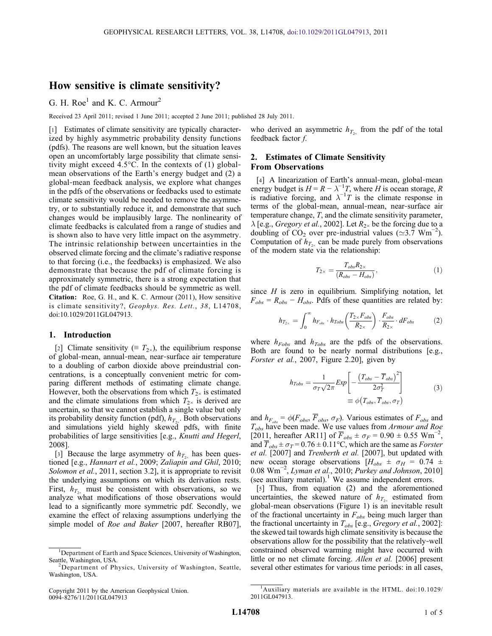# How sensitive is climate sensitivity?

G. H. Roe<sup>1</sup> and K. C. Armour<sup>2</sup>

Received 23 April 2011; revised 1 June 2011; accepted 2 June 2011; published 28 July 2011.

[1] Estimates of climate sensitivity are typically characterized by highly asymmetric probability density functions (pdfs). The reasons are well known, but the situation leaves open an uncomfortably large possibility that climate sensitivity might exceed 4.5 $^{\circ}$ C. In the contexts of (1) globalmean observations of the Earth's energy budget and (2) a global‐mean feedback analysis, we explore what changes in the pdfs of the observations or feedbacks used to estimate climate sensitivity would be needed to remove the asymmetry, or to substantially reduce it, and demonstrate that such changes would be implausibly large. The nonlinearity of climate feedbacks is calculated from a range of studies and is shown also to have very little impact on the asymmetry. The intrinsic relationship between uncertainties in the observed climate forcing and the climate's radiative response to that forcing (i.e., the feedbacks) is emphasized. We also demonstrate that because the pdf of climate forcing is approximately symmetric, there is a strong expectation that the pdf of climate feedbacks should be symmetric as well. Citation: Roe, G. H., and K. C. Armour (2011), How sensitive is climate sensitivity?, Geophys. Res. Lett., 38, L14708, doi:10.1029/2011GL047913.

## 1. Introduction

[2] Climate sensitivity ( $\equiv T_{2\times}$ ), the equilibrium response of global‐mean, annual‐mean, near‐surface air temperature to a doubling of carbon dioxide above preindustrial concentrations, is a conceptually convenient metric for comparing different methods of estimating climate change. However, both the observations from which  $T_{2\times}$  is estimated and the climate simulations from which  $T_{2\times}$  is derived are uncertain, so that we cannot establish a single value but only its probability density function (pdf),  $h_{T_{\gamma}}$ . Both observations and simulations yield highly skewed pdfs, with finite probabilities of large sensitivities [e.g., Knutti and Hegerl, 2008].

[3] Because the large asymmetry of  $h_{T_{2x}}$  has been questioned [e.g., Hannart et al., 2009; Zaliapin and Ghil, 2010; Solomon et al., 2011, section 3.2], it is appropriate to revisit the underlying assumptions on which its derivation rests. First,  $h_{T_{2\nu}}$  must be consistent with observations, so we analyze what modifications of those observations would lead to a significantly more symmetric pdf. Secondly, we examine the effect of relaxing assumptions underlying the simple model of *Roe and Baker* [2007, hereafter RB07],

who derived an asymmetric  $h_{T_{2x}}$  from the pdf of the total feedback factor f.

## 2. Estimates of Climate Sensitivity From Observations

[4] A linearization of Earth's annual-mean, global-mean energy budget is  $H = R - \lambda^{-1}T$ , where H is ocean storage, R is radiative forcing, and  $\lambda^{-1}$  *T* is the climate response in terms of the global‐mean, annual‐mean, near‐surface air temperature change, T, and the climate sensitivity parameter,  $\lambda$  [e.g., *Gregory et al.*, 2002]. Let  $R_{2\times}$  be the forcing due to a doubling of  $CO_2$  over pre-industrial values ( $\simeq 3.7$  Wm<sup>-2</sup>). Computation of  $h_{T_{2x}}$  can be made purely from observations of the modern state via the relationship:

$$
T_{2\times} = \frac{T_{obs}R_{2\times}}{(R_{obs} - H_{obs})},\tag{1}
$$

since  $H$  is zero in equilibrium. Simplifying notation, let  $F_{obs} = R_{obs} - H_{obs}$ . Pdfs of these quantities are related by:

$$
h_{T_{2\times}} = \int_0^\infty h_{F_{obs}} \cdot h_{Tobs} \left( \frac{T_{2\times} F_{obs}}{R_{2\times}} \right) \cdot \frac{F_{obs}}{R_{2\times}} \cdot dF_{obs} \tag{2}
$$

where  $h_{Fobs}$  and  $h_{Tobs}$  are the pdfs of the observations. Both are found to be nearly normal distributions [e.g., Forster et al., 2007, Figure 2.20], given by

$$
h_{Tobs} = \frac{1}{\sigma_T \sqrt{2\pi}} Exp \left[ -\frac{\left(T_{obs} - \overline{T}_{obs}\right)^2}{2\sigma_T^2} \right]
$$
  

$$
\equiv \phi \left(T_{obs}, \overline{T}_{obs}, \sigma_T\right)
$$
 (3)

and  $h_{F_{obs}} = \phi(F_{obs}, \overline{F}_{obs}, \sigma_F)$ . Various estimates of  $F_{obs}$  and  $T_{obs}$  have been made. We use values from Armour and Roe [2011, hereafter AR11] of  $\overline{F}_{obs} \pm \sigma_F = 0.90 \pm 0.55$  Wm<sup>-2</sup>, and  $\overline{T}_{obs} \pm \sigma_T = 0.76 \pm 0.11^{\circ}$ C, which are the same as *Forster* et al. [2007] and Trenberth et al. [2007], but updated with new ocean storage observations  $[H_{obs} \pm \sigma_H = 0.74 \pm$ 0.08 Wm<sup>-2</sup>, Lyman et al., 2010; Purkey and Johnson, 2010] (see auxiliary material).<sup>1</sup> We assume independent errors.

[5] Thus, from equation (2) and the aforementioned uncertainties, the skewed nature of  $h_{T_{2x}}$  estimated from global‐mean observations (Figure 1) is an inevitable result of the fractional uncertainty in  $F_{obs}$  being much larger than the fractional uncertainty in  $T_{obs}$  [e.g., *Gregory et al.*, 2002]: the skewed tail towards high climate sensitivity is because the observations allow for the possibility that the relatively‐well constrained observed warming might have occurred with little or no net climate forcing. Allen et al. [2006] present several other estimates for various time periods: in all cases,

<sup>&</sup>lt;sup>1</sup>Department of Earth and Space Sciences, University of Washington, Seattle, Washington, USA.

<sup>&</sup>lt;sup>2</sup>Department of Physics, University of Washington, Seattle, Washington, USA.

Copyright 2011 by the American Geophysical Union. 0094‐8276/11/2011GL047913

<sup>1</sup> Auxiliary materials are available in the HTML. doi:10.1029/ 2011GL047913.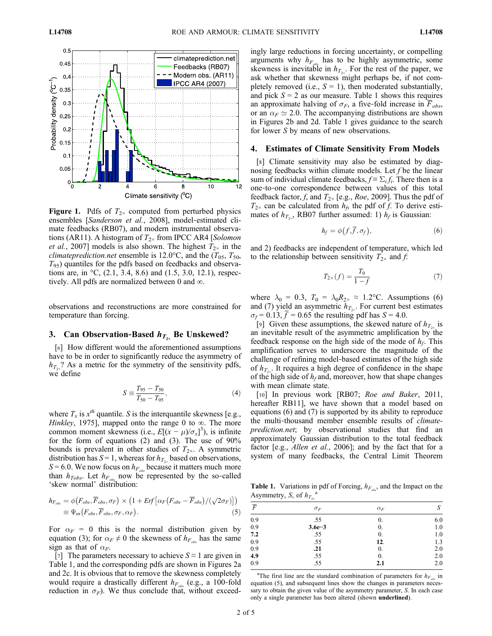

**Figure 1.** Pdfs of  $T_{2\times}$  computed from perturbed physics ensembles [Sanderson et al., 2008], model-estimated climate feedbacks (RB07), and modern instrumental observations (AR11). A histogram of  $T_{2\times}$  from IPCC AR4 [Solomon et al., 2007] models is also shown. The highest  $T_{2\times}$  in the *climateprediction.net* ensemble is 12.0°C, and the  $(T_{0.5}, T_{50},$  $T_{95}$ ) quantiles for the pdfs based on feedbacks and observations are, in  ${}^{\circ}C$ , (2.1, 3.4, 8.6) and (1.5, 3.0, 12.1), respectively. All pdfs are normalized between 0 and ∞.

observations and reconstructions are more constrained for temperature than forcing.

## 3. Can Observation-Based  $h_{T_{2\times}}$  Be Unskewed?

[6] How different would the aforementioned assumptions have to be in order to significantly reduce the asymmetry of  $h_{T_{2}}$ ? As a metric for the symmetry of the sensitivity pdfs, we define

$$
S \equiv \frac{T_{95} - T_{50}}{T_{50} - T_{05}},\tag{4}
$$

where  $T_x$  is  $x^{th}$  quantile. S is the interquantile skewness [e.g., Hinkley, 1975], mapped onto the range 0 to  $\infty$ . The more common moment skewness (i.e.,  $E[(x - \mu)/\sigma_x]^3$ ), is infinite for the form of equations  $(2)$  and  $(3)$ . The use of  $90\%$ bounds is prevalent in other studies of  $T_{2\times}$ . A symmetric distribution has  $S = 1$ , whereas for  $h_{T_{2x}}$  based on observations,  $S = 6.0$ . We now focus on  $h_{F_{obs}}$  because it matters much more than  $h_{Tobs}$ . Let  $h_{Fobs}$  now be represented by the so-called 'skew normal' distribution:

$$
h_{F_{obs}} = \phi(F_{obs}, \overline{F}_{obs}, \sigma_F) \times (1 + Erf\left[\alpha_F(F_{obs} - \overline{F}_{obs})/(\sqrt{2}\sigma_F)\right])
$$
  

$$
\equiv \Psi_{sn}(F_{obs}, \overline{F}_{obs}, \sigma_F, \alpha_F).
$$
 (5)

For  $\alpha_F = 0$  this is the normal distribution given by equation (3); for  $\alpha_F \neq 0$  the skewness of  $h_{F_{obs}}$  has the same sign as that of  $\alpha_F$ .

[7] The parameters necessary to achieve  $S \approx 1$  are given in Table 1, and the corresponding pdfs are shown in Figures 2a and 2c. It is obvious that to remove the skewness completely would require a drastically different  $h_{F_{obs}}$  (e.g., a 100-fold reduction in  $\sigma_F$ ). We thus conclude that, without exceedingly large reductions in forcing uncertainty, or compelling arguments why  $h_{F_{\alpha k}}$  has to be highly asymmetric, some skewness is inevitable in  $h_{T_{2}x}$ . For the rest of the paper, we ask whether that skewness might perhaps be, if not completely removed (i.e.,  $S = 1$ ), then moderated substantially, and pick  $S = 2$  as our measure. Table 1 shows this requires an approximate halving of  $\sigma_F$ , a five-fold increase in  $\overline{F}_{obs}$ , or an  $\alpha_F \simeq 2.0$ . The accompanying distributions are shown in Figures 2b and 2d. Table 1 gives guidance to the search for lower S by means of new observations.

### 4. Estimates of Climate Sensitivity From Models

[8] Climate sensitivity may also be estimated by diagnosing feedbacks within climate models. Let  $f$  be the linear sum of individual climate feedbacks,  $f = \sum_i f_i$ . There then is a one‐to‐one correspondence between values of this total feedback factor, f, and  $T_{2\times}$  [e.g., *Roe*, 2009]. Thus the pdf of  $T_{2\times}$  can be calculated from  $h_f$ , the pdf of f. To derive estimates of  $h_{T_{2x}}$ , RB07 further assumed: 1)  $h_f$  is Gaussian:

$$
h_f = \phi\big(f, \overline{f}, \sigma_f\big),\tag{6}
$$

and 2) feedbacks are independent of temperature, which led to the relationship between sensitivity  $T_{2\times}$  and f:

$$
T_{2\times}(f) = \frac{T_0}{1 - f} \tag{7}
$$

where  $\lambda_0 = 0.3$ ,  $T_0 = \lambda_0 R_{2 \times} \approx 1.2$ °C. Assumptions (6) and (7) yield an asymmetric  $h_{T_{2}}$ . For current best estimates  $\sigma_f$  = 0.13, f = 0.65 the resulting pdf has S = 4.0.

[9] Given these assumptions, the skewed nature of  $h_{T_{2}}$  is an inevitable result of the asymmetric amplification by the feedback response on the high side of the mode of  $h_f$ . This amplification serves to underscore the magnitude of the challenge of refining model‐based estimates of the high side of  $h_{T<sub>2</sub>}$ . It requires a high degree of confidence in the shape of the high side of  $h_f$  and, moreover, how that shape changes with mean climate state.

[10] In previous work [RB07; Roe and Baker, 2011, hereafter RB11], we have shown that a model based on equations (6) and (7) is supported by its ability to reproduce the multi-thousand member ensemble results of *climate*prediction.net; by observational studies that find an approximately Gaussian distribution to the total feedback factor [e.g., *Allen et al.*, 2006]; and by the fact that for a system of many feedbacks, the Central Limit Theorem

**Table 1.** Variations in pdf of Forcing,  $h_{F_{obs}}$ , and the Impact on the Asymmetry, S, of  $h_{T_{2x}}^{\quad a}$ 

|                | $\sim$     |                  |     |
|----------------|------------|------------------|-----|
| $\overline{F}$ | $\sigma_F$ | $\alpha_F$       | S   |
| 0.9            | .55        | 0.               | 6.0 |
| 0.9            | $3.6e - 3$ | 0.               | 1.0 |
| 7.2            | .55        | 0.               | 1.0 |
| 0.9            | .55        | 12.              | 1.3 |
| 0.9            | .21        | $\overline{0}$ . | 2.0 |
| 4.9            | .55        | 0.               | 2.0 |
| 0.9            | .55        | 2.1              | 2.0 |
|                |            |                  |     |

<sup>a</sup>The first line are the standard combination of parameters for  $h_{F_{obs}}$  in equation (5), and subsequent lines show the changes in parameters necessary to obtain the given value of the asymmetry parameter, S. In each case only a single parameter has been altered (shown underlined).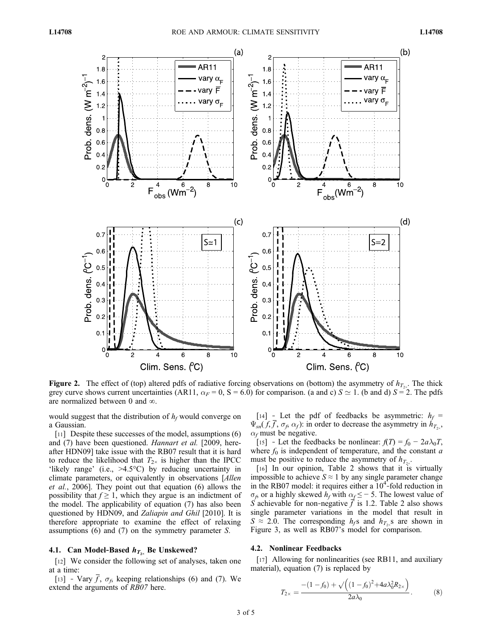

Figure 2. The effect of (top) altered pdfs of radiative forcing observations on (bottom) the asymmetry of  $h_{T_{2x}}$ . The thick grey curve shows current uncertainties (AR11,  $\alpha_F = 0$ , S = 6.0) for comparison. (a and c) S  $\simeq$  1. (b and d) S = 2. The pdfs are normalized between 0 and ∞.

would suggest that the distribution of  $h_f$  would converge on a Gaussian.

[11] Despite these successes of the model, assumptions (6) and (7) have been questioned. Hannart et al. [2009, hereafter HDN09] take issue with the RB07 result that it is hard to reduce the likelihood that  $T_{2\times}$  is higher than the IPCC 'likely range' (i.e., >4.5°C) by reducing uncertainty in climate parameters, or equivalently in observations [Allen et al., 2006]. They point out that equation (6) allows the possibility that  $f \geq 1$ , which they argue is an indictment of the model. The applicability of equation (7) has also been questioned by HDN09, and Zaliapin and Ghil [2010]. It is therefore appropriate to examine the effect of relaxing assumptions (6) and (7) on the symmetry parameter S.

### 4.1. Can Model-Based  $h_{T_{2x}}$  Be Unskewed?

[12] We consider the following set of analyses, taken one at a time:

[13] - Vary  $\overline{f}$ ,  $\sigma_f$ , keeping relationships (6) and (7). We extend the arguments of RB07 here.

[14] – Let the pdf of feedbacks be asymmetric:  $h_f$  =  $\Psi_{\rm sn}(f, \overline{f}, \sigma_f, \alpha_f)$ : in order to decrease the asymmetry in  $h_{T_{\infty}},$  $\alpha_f$  must be negative.

[15] – Let the feedbacks be nonlinear:  $f(T) = f_0 - 2a\lambda_0T$ , where  $f_0$  is independent of temperature, and the constant  $a$ must be positive to reduce the asymmetry of  $h_{T_{2\gamma}}$ .

[16] In our opinion, Table 2 shows that it is virtually impossible to achieve  $S \approx 1$  by any single parameter change in the RB07 model: it requires either a  $10<sup>4</sup>$ -fold reduction in  $\sigma_f$ , or a highly skewed  $h_f$  with  $\alpha_f \leq -5$ . The lowest value of S achievable for non-negative  $\overrightarrow{f}$  is 1.2. Table 2 also shows single parameter variations in the model that result in  $S \approx 2.0$ . The corresponding  $h_f s$  and  $h_{T_2} s$  are shown in Figure 3, as well as RB07's model for comparison.

#### 4.2. Nonlinear Feedbacks

[17] Allowing for nonlinearities (see RB11, and auxiliary material), equation (7) is replaced by

$$
T_{2\times} = \frac{-(1-f_0) + \sqrt{((1-f_0)^2 + 4a\lambda_0^2 R_{2\times})}}{2a\lambda_0}.
$$
 (8)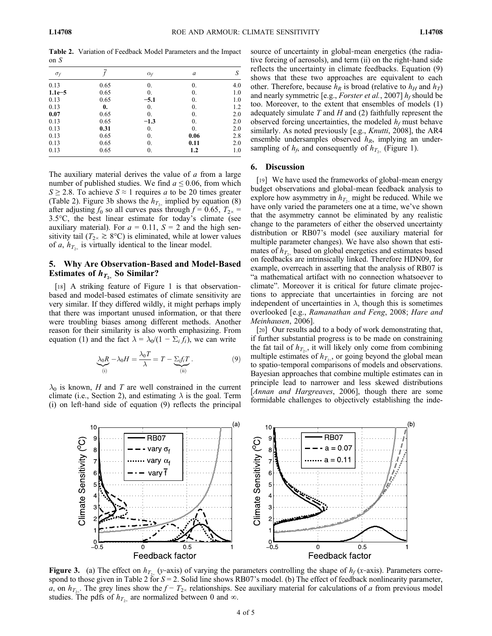Table 2. Variation of Feedback Model Parameters and the Impact on S

| $\sigma_f$ |              | $\alpha_f$ | a    | S   |  |
|------------|--------------|------------|------|-----|--|
| 0.13       | 0.65         | 0.         | 0.   | 4.0 |  |
| $1.1e-5$   | 0.65         | 0.         | 0.   | 1.0 |  |
| 0.13       | 0.65         | $-5.1$     | 0.   | 1.0 |  |
| 0.13       | $\mathbf{0}$ | 0.         | 0.   | 1.2 |  |
| 0.07       | 0.65         | 0.         | 0.   | 2.0 |  |
| 0.13       | 0.65         | $-1.3$     | 0.   | 2.0 |  |
| 0.13       | 0.31         | 0.         | 0.   | 2.0 |  |
| 0.13       | 0.65         | 0.         | 0.06 | 2.8 |  |
| 0.13       | 0.65         | 0.         | 0.11 | 2.0 |  |
| 0.13       | 0.65         | 0.         | 1.2  | 1.0 |  |
|            |              |            |      |     |  |

The auxiliary material derives the value of  $a$  from a large number of published studies. We find  $a \le 0.06$ , from which  $S \ge 2.8$ . To achieve  $S \approx 1$  requires a to be 20 times greater (Table 2). Figure 3b shows the  $h_{T_{2\nu}}$  implied by equation (8) after adjusting  $f_0$  so all curves pass through  $f = 0.65$ ,  $T_{2\times} =$ 3.5°C, the best linear estimate for today's climate (see auxiliary material). For  $a = 0.11$ ,  $S = 2$  and the high sensitivity tail ( $T_{2\times} \ge 8$ °C) is eliminated, while at lower values of a,  $h_{T_{2}}$  is virtually identical to the linear model.

## 5. Why Are Observation‐Based and Model‐Based Estimates of  $h_{T_{2}}$  So Similar?

[18] A striking feature of Figure 1 is that observationbased and model‐based estimates of climate sensitivity are very similar. If they differed wildly, it might perhaps imply that there was important unused information, or that there were troubling biases among different methods. Another reason for their similarity is also worth emphasizing. From equation (1) and the fact  $\lambda = \lambda_0/(1 - \Sigma_i f_i)$ , we can write

$$
\underbrace{\lambda_0 R}_{(i)} - \lambda_0 H = \frac{\lambda_0 T}{\lambda} = T - \underbrace{\Sigma_i f_i T}_{(ii)}.
$$
\n(9)

 $\lambda_0$  is known, H and T are well constrained in the current climate (i.e., Section 2), and estimating  $\lambda$  is the goal. Term (i) on left‐hand side of equation (9) reflects the principal source of uncertainty in global-mean energetics (the radiative forcing of aerosols), and term (ii) on the right‐hand side reflects the uncertainty in climate feedbacks. Equation (9) shows that these two approaches are equivalent to each other. Therefore, because  $h_R$  is broad (relative to  $h_H$  and  $h_T$ ) and nearly symmetric [e.g., *Forster et al.*, 2007]  $h_f$  should be too. Moreover, to the extent that ensembles of models (1) adequately simulate  $T$  and  $H$  and  $(2)$  faithfully represent the observed forcing uncertainties, the modeled  $h_f$  must behave similarly. As noted previously [e.g., *Knutti*, 2008], the AR4 ensemble undersamples observed  $h_R$ , implying an undersampling of  $h_f$ , and consequently of  $h_{T_{2x}}$  (Figure 1).

### 6. Discussion

[19] We have used the frameworks of global-mean energy budget observations and global‐mean feedback analysis to explore how asymmetry in  $h_{T_{2x}}$  might be reduced. While we have only varied the parameters one at a time, we've shown that the asymmetry cannot be eliminated by any realistic change to the parameters of either the observed uncertainty distribution or RB07's model (see auxiliary material for multiple parameter changes). We have also shown that estimates of  $h_{T_{2x}}$  based on global energetics and estimates based on feedbacks are intrinsically linked. Therefore HDN09, for example, overreach in asserting that the analysis of RB07 is "a mathematical artifact with no connection whatsoever to climate". Moreover it is critical for future climate projections to appreciate that uncertainties in forcing are not independent of uncertainties in  $\lambda$ , though this is sometimes overlooked [e.g., Ramanathan and Feng, 2008; Hare and Meinhausen, 2006].

[20] Our results add to a body of work demonstrating that, if further substantial progress is to be made on constraining the fat tail of  $h_{T_{2x}}$ , it will likely only come from combining multiple estimates of  $h_{T_{2}x}$ , or going beyond the global mean to spatio‐temporal comparisons of models and observations. Bayesian approaches that combine multiple estimates can in principle lead to narrower and less skewed distributions [*Annan and Hargreaves*, 2006], though there are some formidable challenges to objectively establishing the inde-



Figure 3. (a) The effect on  $h_{T_{2x}}(y$ -axis) of varying the parameters controlling the shape of  $h_f(x)$ -axis). Parameters correspond to those given in Table 2 for  $S = 2$ . Solid line shows RB07's model. (b) The effect of feedback nonlinearity parameter, a, on  $h_{T_{2x}}$ . The grey lines show the  $f - T_{2x}$  relationships. See auxiliary material for calculations of a from previous model studies. The pdfs of  $h_{T_{2x}}$  are normalized between 0 and  $\infty$ .